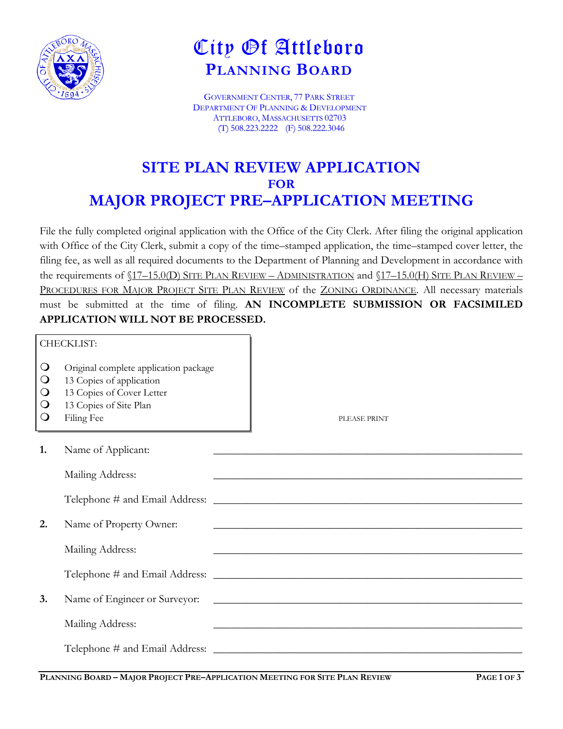

## City Of Attleboro **PLANNING BOARD**

GOVERNMENT CENTER, 77 PARK STREET DEPARTMENT OF PLANNING & DEVELOPMENT ATTLEBORO, MASSACHUSETTS 02703 (T) 508.223.2222 (F) 508.222.3046

## **SITE PLAN REVIEW APPLICATION FOR MAJOR PROJECT PRE–APPLICATION MEETING**

File the fully completed original application with the Office of the City Clerk. After filing the original application with Office of the City Clerk, submit a copy of the time–stamped application, the time–stamped cover letter, the filing fee, as well as all required documents to the Department of Planning and Development in accordance with the requirements of  $(17-15.0(D)$  SITE PLAN REVIEW – ADMINISTRATION and  $(17-15.0(H)$  SITE PLAN REVIEW – PROCEDURES FOR MAJOR PROJECT SITE PLAN REVIEW of the ZONING ORDINANCE. All necessary materials must be submitted at the time of filing. **AN INCOMPLETE SUBMISSION OR FACSIMILED APPLICATION WILL NOT BE PROCESSED.**

|                                                           | CHECKLIST:                                                                                                                             |                                                                                                                      |
|-----------------------------------------------------------|----------------------------------------------------------------------------------------------------------------------------------------|----------------------------------------------------------------------------------------------------------------------|
| $\circ$<br>$\circ$<br>$\bigcirc$<br>$\circ$<br>$\bigcirc$ | Original complete application package<br>13 Copies of application<br>13 Copies of Cover Letter<br>13 Copies of Site Plan<br>Filing Fee | PLEASE PRINT                                                                                                         |
| 1.                                                        | Name of Applicant:                                                                                                                     |                                                                                                                      |
|                                                           | Mailing Address:                                                                                                                       | <u> 1990 - Johann John Stoff, amerikan besteht als der stadt av den stadt av den stadt av den stadt av den stadt</u> |
|                                                           |                                                                                                                                        |                                                                                                                      |
| 2.                                                        | Name of Property Owner:                                                                                                                |                                                                                                                      |
|                                                           | Mailing Address:                                                                                                                       | and the control of the control of the control of the control of the control of the control of the control of the     |
|                                                           |                                                                                                                                        |                                                                                                                      |
| 3.                                                        | Name of Engineer or Surveyor:                                                                                                          | <u> 1988 - Johann Barbara, margaret eta idazlea (h. 1988).</u>                                                       |
|                                                           | Mailing Address:                                                                                                                       | <u> 1989 - Johann Stoff, amerikansk politiker (d. 1989)</u>                                                          |
|                                                           |                                                                                                                                        |                                                                                                                      |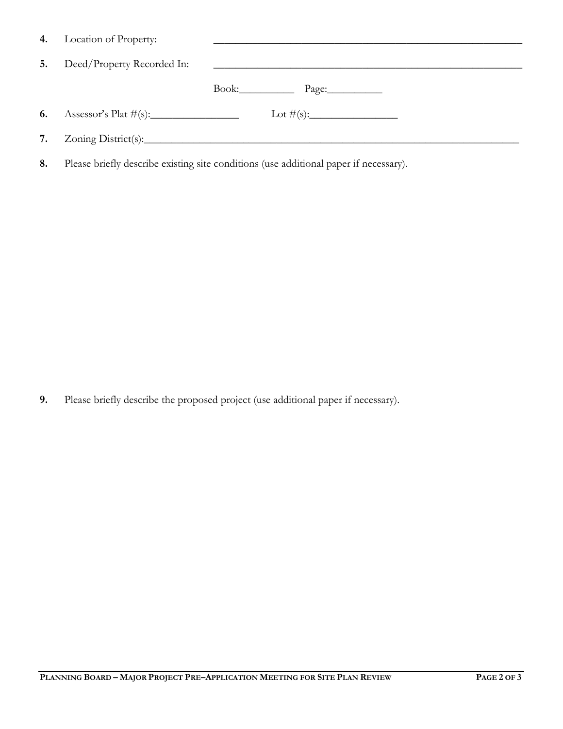|    | 4. Location of Property:   |                                                                    |
|----|----------------------------|--------------------------------------------------------------------|
| 5. | Deed/Property Recorded In: | <u> 1989 - Andrea Station Barbara, amerikan personal (h. 1989)</u> |
|    |                            | Book: Page:                                                        |
|    |                            |                                                                    |
|    |                            |                                                                    |

**8.** Please briefly describe existing site conditions (use additional paper if necessary).

**9.** Please briefly describe the proposed project (use additional paper if necessary).